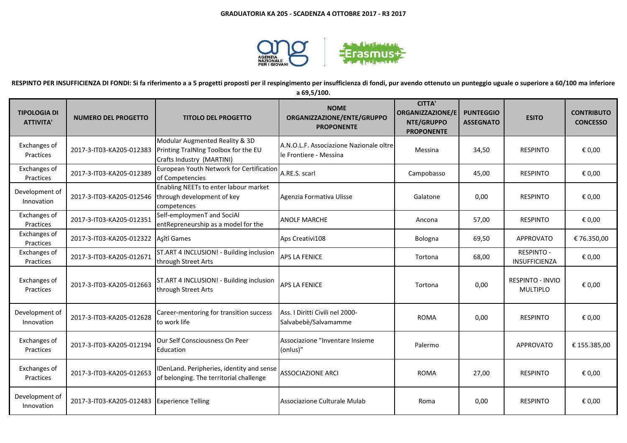

**RESPINTO PER INSUFFICIENZA DI FONDI: Si fa riferimento a a 5 progetti proposti per il respingimento per insufficienza di fondi, pur avendo ottenuto un punteggio uguale o superiore a 60/100 ma inferiore** 

**a 69,5/100.**

| <b>TIPOLOGIA DI</b><br><b>ATTIVITA'</b> | <b>NUMERO DEL PROGETTO</b> | <b>TITOLO DEL PROGETTO</b>                                                                          | <b>NOME</b><br>ORGANIZZAZIONE/ENTE/GRUPPO<br><b>PROPONENTE</b>    | <b>CITTA'</b><br><b>ORGANIZZAZIONE/E</b><br>NTE/GRUPPO<br><b>PROPONENTE</b> | <b>PUNTEGGIO</b><br><b>ASSEGNATO</b> | <b>ESITO</b>                        | <b>CONTRIBUTO</b><br><b>CONCESSO</b> |
|-----------------------------------------|----------------------------|-----------------------------------------------------------------------------------------------------|-------------------------------------------------------------------|-----------------------------------------------------------------------------|--------------------------------------|-------------------------------------|--------------------------------------|
| Exchanges of<br>Practices               | 2017-3-IT03-KA205-012383   | Modular Augmented Reality & 3D<br>Printing TraINIng Toolbox for the EU<br>Crafts Industry (MARTINI) | A.N.O.L.F. Associazione Nazionale oltre<br>le Frontiere - Messina | Messina                                                                     | 34,50                                | <b>RESPINTO</b>                     | € 0,00                               |
| Exchanges of<br>Practices               | 2017-3-IT03-KA205-012389   | European Youth Network for Certification<br>of Competencies                                         | A.RE.S. scarl                                                     | Campobasso                                                                  | 45,00                                | <b>RESPINTO</b>                     | € 0,00                               |
| Development of<br>Innovation            | 2017-3-IT03-KA205-012546   | Enabling NEETs to enter labour market<br>through development of key<br>competences                  | Agenzia Formativa Ulisse                                          | Galatone                                                                    | 0,00                                 | <b>RESPINTO</b>                     | € 0,00                               |
| Exchanges of<br>Practices               | 2017-3-IT03-KA205-012351   | Self-employmenT and SociAl<br>entRepreneurship as a model for the                                   | <b>ANOLF MARCHE</b>                                               | Ancona                                                                      | 57,00                                | <b>RESPINTO</b>                     | € 0,00                               |
| Exchanges of<br>Practices               | 2017-3-IT03-KA205-012322   | Aşîtî Games                                                                                         | Aps Creativi108                                                   | Bologna                                                                     | 69,50                                | <b>APPROVATO</b>                    | € 76.350,00                          |
| Exchanges of<br>Practices               | 2017-3-IT03-KA205-012671   | ST.ART 4 INCLUSION! - Building inclusion<br>through Street Arts                                     | <b>APS LA FENICE</b>                                              | Tortona                                                                     | 68,00                                | <b>RESPINTO -</b><br>INSUFFICIENZA  | € 0,00                               |
| Exchanges of<br>Practices               | 2017-3-IT03-KA205-012663   | ST.ART 4 INCLUSION! - Building inclusion<br>through Street Arts                                     | APS LA FENICE                                                     | Tortona                                                                     | 0,00                                 | RESPINTO - INVIO<br><b>MULTIPLO</b> | € 0,00                               |
| Development of<br>Innovation            | 2017-3-IT03-KA205-012628   | Career-mentoring for transition success<br>to work life                                             | Ass. I Diritti Civili nel 2000-<br>Salvabebè/Salvamamme           | <b>ROMA</b>                                                                 | 0,00                                 | <b>RESPINTO</b>                     | € 0,00                               |
| Exchanges of<br>Practices               | 2017-3-IT03-KA205-012194   | Our Self Consciousness On Peer<br>Education                                                         | Associazione "Inventare Insieme<br>(onlus)"                       | Palermo                                                                     |                                      | <b>APPROVATO</b>                    | € 155.385,00                         |
| Exchanges of<br>Practices               | 2017-3-IT03-KA205-012653   | DenLand. Peripheries, identity and sense<br>of belonging. The territorial challenge                 | <b>ASSOCIAZIONE ARCI</b>                                          | <b>ROMA</b>                                                                 | 27,00                                | <b>RESPINTO</b>                     | € 0,00                               |
| Development of<br>Innovation            | 2017-3-IT03-KA205-012483   | <b>Experience Telling</b>                                                                           | Associazione Culturale Mulab                                      | Roma                                                                        | 0,00                                 | <b>RESPINTO</b>                     | € 0,00                               |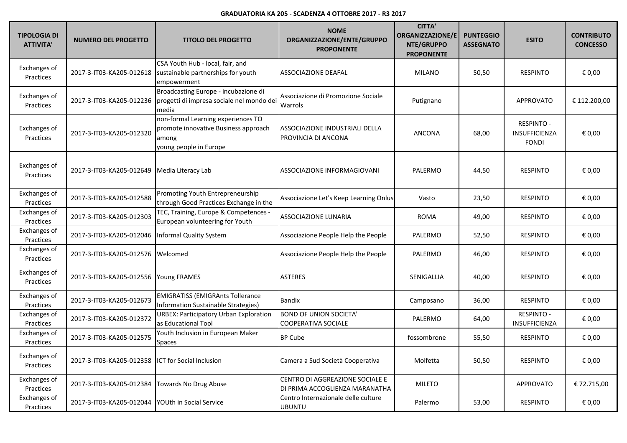| <b>TIPOLOGIA DI</b><br><b>ATTIVITA'</b> | <b>NUMERO DEL PROGETTO</b>                         | <b>TITOLO DEL PROGETTO</b>                                                                                    | <b>NOME</b><br>ORGANIZZAZIONE/ENTE/GRUPPO<br><b>PROPONENTE</b>    | <b>CITTA'</b><br>ORGANIZZAZIONE/E<br>NTE/GRUPPO<br><b>PROPONENTE</b> | <b>PUNTEGGIO</b><br><b>ASSEGNATO</b> | <b>ESITO</b>                                              | <b>CONTRIBUTO</b><br><b>CONCESSO</b> |
|-----------------------------------------|----------------------------------------------------|---------------------------------------------------------------------------------------------------------------|-------------------------------------------------------------------|----------------------------------------------------------------------|--------------------------------------|-----------------------------------------------------------|--------------------------------------|
| Exchanges of<br>Practices               | 2017-3-IT03-KA205-012618                           | CSA Youth Hub - local, fair, and<br>sustainable partnerships for youth<br>empowerment                         | ASSOCIAZIONE DEAFAL                                               | <b>MILANO</b>                                                        | 50,50                                | <b>RESPINTO</b>                                           | € 0,00                               |
| Exchanges of<br>Practices               | 2017-3-IT03-KA205-012236                           | Broadcasting Europe - incubazione di<br>progetti di impresa sociale nel mondo dei<br>media                    | Associazione di Promozione Sociale<br>Warrols                     | Putignano                                                            |                                      | <b>APPROVATO</b>                                          | € 112.200,00                         |
| Exchanges of<br>Practices               | 2017-3-IT03-KA205-012320                           | non-formal Learning experiences TO<br>promote innovative Business approach<br>among<br>young people in Europe | ASSOCIAZIONE INDUSTRIALI DELLA<br>PROVINCIA DI ANCONA             | <b>ANCONA</b>                                                        | 68,00                                | <b>RESPINTO -</b><br><b>INSUFFICIENZA</b><br><b>FONDI</b> | € 0,00                               |
| Exchanges of<br>Practices               | 2017-3-IT03-KA205-012649                           | Media Literacy Lab                                                                                            | ASSOCIAZIONE INFORMAGIOVANI                                       | PALERMO                                                              | 44,50                                | <b>RESPINTO</b>                                           | € 0,00                               |
| Exchanges of<br>Practices               | 2017-3-IT03-KA205-012588                           | Promoting Youth Entrepreneurship<br>through Good Practices Exchange in the                                    | Associazione Let's Keep Learning Onlus                            | Vasto                                                                | 23,50                                | <b>RESPINTO</b>                                           | € 0,00                               |
| Exchanges of<br>Practices               | 2017-3-IT03-KA205-012303                           | TEC, Training, Europe & Competences -<br>European volunteering for Youth                                      | <b>ASSOCIAZIONE LUNARIA</b>                                       | <b>ROMA</b>                                                          | 49,00                                | <b>RESPINTO</b>                                           | € 0,00                               |
| Exchanges of<br>Practices               | 2017-3-IT03-KA205-012046                           | Informal Quality System                                                                                       | Associazione People Help the People                               | PALERMO                                                              | 52,50                                | <b>RESPINTO</b>                                           | € 0,00                               |
| Exchanges of<br>Practices               | 2017-3-IT03-KA205-012576 Welcomed                  |                                                                                                               | Associazione People Help the People                               | PALERMO                                                              | 46,00                                | <b>RESPINTO</b>                                           | € 0,00                               |
| Exchanges of<br>Practices               | 2017-3-IT03-KA205-012556                           | <b>Young FRAMES</b>                                                                                           | <b>ASTERES</b>                                                    | SENIGALLIA                                                           | 40,00                                | <b>RESPINTO</b>                                           | € 0,00                               |
| Exchanges of<br>Practices               | 2017-3-IT03-KA205-012673                           | <b>EMIGRATISS (EMIGRAnts Tollerance</b><br>Information Sustainable Strategies)                                | Bandix                                                            | Camposano                                                            | 36,00                                | <b>RESPINTO</b>                                           | € 0,00                               |
| Exchanges of<br>Practices               | 2017-3-IT03-KA205-012372                           | <b>URBEX: Participatory Urban Exploration</b><br>as Educational Tool                                          | <b>BOND OF UNION SOCIETA'</b><br><b>COOPERATIVA SOCIALE</b>       | PALERMO                                                              | 64,00                                | <b>RESPINTO -</b><br>INSUFFICIENZA                        | € 0,00                               |
| Exchanges of<br>Practices               | 2017-3-IT03-KA205-012575                           | Youth Inclusion in European Maker<br><b>Spaces</b>                                                            | <b>BP Cube</b>                                                    | fossombrone                                                          | 55,50                                | <b>RESPINTO</b>                                           | € 0,00                               |
| Exchanges of<br>Practices               | 2017-3-IT03-KA205-012358  ICT for Social Inclusion |                                                                                                               | Camera a Sud Società Cooperativa                                  | Molfetta                                                             | 50,50                                | <b>RESPINTO</b>                                           | € 0,00                               |
| Exchanges of<br>Practices               | 2017-3-IT03-KA205-012384 Towards No Drug Abuse     |                                                                                                               | CENTRO DI AGGREAZIONE SOCIALE E<br>DI PRIMA ACCOGLIENZA MARANATHA | <b>MILETO</b>                                                        |                                      | APPROVATO                                                 | € 72.715,00                          |
| Exchanges of<br>Practices               | 2017-3-IT03-KA205-012044   YOUth in Social Service |                                                                                                               | Centro Internazionale delle culture<br><b>UBUNTU</b>              | Palermo                                                              | 53,00                                | <b>RESPINTO</b>                                           | € 0,00                               |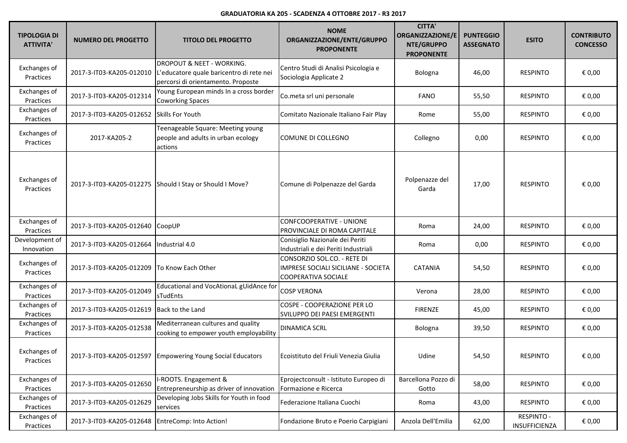| <b>TIPOLOGIA DI</b><br><b>ATTIVITA'</b> | <b>NUMERO DEL PROGETTO</b> | <b>TITOLO DEL PROGETTO</b>                                                                                  | <b>NOME</b><br>ORGANIZZAZIONE/ENTE/GRUPPO<br><b>PROPONENTE</b>                                   | <b>CITTA'</b><br>ORGANIZZAZIONE/E<br>NTE/GRUPPO<br><b>PROPONENTE</b> | <b>PUNTEGGIO</b><br><b>ASSEGNATO</b> | <b>ESITO</b>                       | <b>CONTRIBUTO</b><br><b>CONCESSO</b> |
|-----------------------------------------|----------------------------|-------------------------------------------------------------------------------------------------------------|--------------------------------------------------------------------------------------------------|----------------------------------------------------------------------|--------------------------------------|------------------------------------|--------------------------------------|
| Exchanges of<br>Practices               | 2017-3-IT03-KA205-012010   | DROPOUT & NEET - WORKING.<br>L'educatore quale baricentro di rete nei<br>percorsi di orientamento. Proposte | Centro Studi di Analisi Psicologia e<br>Sociologia Applicate 2                                   | Bologna                                                              | 46,00                                | <b>RESPINTO</b>                    | € 0,00                               |
| Exchanges of<br>Practices               | 2017-3-IT03-KA205-012314   | Young European minds In a cross border<br><b>Coworking Spaces</b>                                           | Co.meta srl uni personale                                                                        | <b>FANO</b>                                                          | 55,50                                | <b>RESPINTO</b>                    | € 0,00                               |
| Exchanges of<br>Practices               | 2017-3-IT03-KA205-012652   | Skills For Youth                                                                                            | Comitato Nazionale Italiano Fair Play                                                            | Rome                                                                 | 55,00                                | <b>RESPINTO</b>                    | € 0,00                               |
| Exchanges of<br>Practices               | 2017-KA205-2               | Teenageable Square: Meeting young<br>people and adults in urban ecology<br>actions                          | COMUNE DI COLLEGNO                                                                               | Collegno                                                             | 0,00                                 | <b>RESPINTO</b>                    | € 0,00                               |
| Exchanges of<br>Practices               |                            | 2017-3-IT03-KA205-012275 Should I Stay or Should I Move?                                                    | Comune di Polpenazze del Garda                                                                   | Polpenazze del<br>Garda                                              | 17,00                                | <b>RESPINTO</b>                    | € 0,00                               |
| Exchanges of<br>Practices               | 2017-3-IT03-KA205-012640   | CoopUP                                                                                                      | <b>CONFCOOPERATIVE - UNIONE</b><br>PROVINCIALE DI ROMA CAPITALE                                  | Roma                                                                 | 24,00                                | <b>RESPINTO</b>                    | € 0,00                               |
| Development of<br>Innovation            | 2017-3-IT03-KA205-012664   | ndustrial 4.0                                                                                               | Conisiglio Nazionale dei Periti<br>Industriali e dei Periti Industriali                          | Roma                                                                 | 0,00                                 | <b>RESPINTO</b>                    | € 0,00                               |
| Exchanges of<br>Practices               | 2017-3-IT03-KA205-012209   | To Know Each Other                                                                                          | CONSORZIO SOL.CO. - RETE DI<br>IMPRESE SOCIALI SICILIANE - SOCIETA<br><b>COOPERATIVA SOCIALE</b> | <b>CATANIA</b>                                                       | 54,50                                | <b>RESPINTO</b>                    | € 0,00                               |
| Exchanges of<br>Practices               | 2017-3-IT03-KA205-012049   | Educational and VocAtionaL gUidAnce for<br>sTudEnts                                                         | <b>COSP VERONA</b>                                                                               | Verona                                                               | 28,00                                | <b>RESPINTO</b>                    | € 0,00                               |
| Exchanges of<br>Practices               | 2017-3-IT03-KA205-012619   | Back to the Land                                                                                            | COSPE - COOPERAZIONE PER LO<br>SVILUPPO DEI PAESI EMERGENTI                                      | <b>FIRENZE</b>                                                       | 45,00                                | <b>RESPINTO</b>                    | € 0,00                               |
| Exchanges of<br>Practices               | 2017-3-IT03-KA205-012538   | Mediterranean cultures and quality<br>cooking to empower youth employability                                | <b>DINAMICA SCRL</b>                                                                             | Bologna                                                              | 39,50                                | <b>RESPINTO</b>                    | € 0,00                               |
| Exchanges of<br>Practices               |                            | 2017-3-IT03-KA205-012597 Empowering Young Social Educators                                                  | Ecoistituto del Friuli Venezia Giulia                                                            | Udine                                                                | 54,50                                | <b>RESPINTO</b>                    | $\epsilon$ 0,00                      |
| Exchanges of<br>Practices               | 2017-3-IT03-KA205-012650   | -ROOTS. Engagement &<br>Entrepreneurship as driver of innovation                                            | Eprojectconsult - Istituto Europeo di<br>Formazione e Ricerca                                    | Barcellona Pozzo di<br>Gotto                                         | 58,00                                | <b>RESPINTO</b>                    | € 0,00                               |
| Exchanges of<br>Practices               | 2017-3-IT03-KA205-012629   | Developing Jobs Skills for Youth in food<br>services                                                        | Federazione Italiana Cuochi                                                                      | Roma                                                                 | 43,00                                | <b>RESPINTO</b>                    | € 0,00                               |
| Exchanges of<br>Practices               | 2017-3-IT03-KA205-012648   | EntreComp: Into Action!                                                                                     | Fondazione Bruto e Poerio Carpigiani                                                             | Anzola Dell'Emilia                                                   | 62,00                                | <b>RESPINTO -</b><br>INSUFFICIENZA | € 0,00                               |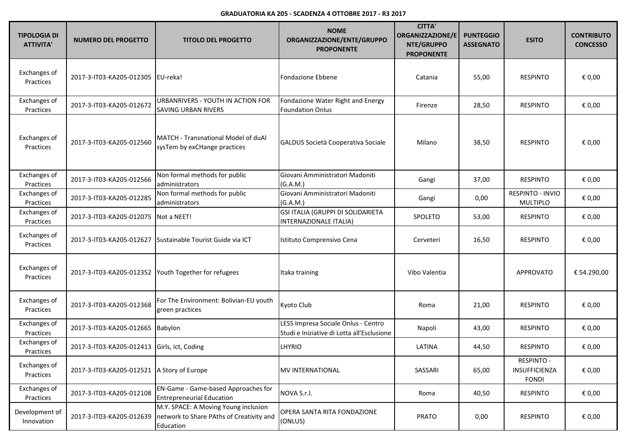| <b>TIPOLOGIA DI</b><br><b>ATTIVITA'</b> | <b>NUMERO DEL PROGETTO</b>                           | <b>TITOLO DEL PROGETTO</b>                                                                    | <b>NOME</b><br>ORGANIZZAZIONE/ENTE/GRUPPO<br><b>PROPONENTE</b>                    | <b>CITTA'</b><br><b>ORGANIZZAZIONE/E</b><br>NTE/GRUPPO<br><b>PROPONENTE</b> | <b>PUNTEGGIO</b><br><b>ASSEGNATO</b> | <b>ESITO</b>                                       | <b>CONTRIBUTO</b><br><b>CONCESSO</b> |
|-----------------------------------------|------------------------------------------------------|-----------------------------------------------------------------------------------------------|-----------------------------------------------------------------------------------|-----------------------------------------------------------------------------|--------------------------------------|----------------------------------------------------|--------------------------------------|
| Exchanges of<br>Practices               | 2017-3-IT03-KA205-012305 EU-reka!                    |                                                                                               | <b>Fondazione Ebbene</b>                                                          | Catania                                                                     | 55,00                                | <b>RESPINTO</b>                                    | € 0,00                               |
| Exchanges of<br>Practices               | 2017-3-IT03-KA205-012672                             | URBANRIVERS - YOUTH IN ACTION FOR<br><b>SAVING URBAN RIVERS</b>                               | Fondazione Water Right and Energy<br><b>Foundation Onlus</b>                      | Firenze                                                                     | 28,50                                | <b>RESPINTO</b>                                    | € 0,00                               |
| Exchanges of<br>Practices               | 2017-3-IT03-KA205-012560                             | MATCH - Transnational Model of duAl<br>sysTem by exCHange practices                           | GALDUS Società Cooperativa Sociale                                                | Milano                                                                      | 38,50                                | <b>RESPINTO</b>                                    | € 0,00                               |
| Exchanges of<br>Practices               | 2017-3-IT03-KA205-012566                             | Non formal methods for public<br>administrators                                               | Giovani Amministratori Madoniti<br>(G.A.M.)                                       | Gangi                                                                       | 37,00                                | <b>RESPINTO</b>                                    | € 0,00                               |
| Exchanges of<br>Practices               | 2017-3-IT03-KA205-012285                             | Non formal methods for public<br>administrators                                               | Giovani Amministratori Madoniti<br>(G.A.M.)                                       | Gangi                                                                       | 0,00                                 | RESPINTO - INVIO<br><b>MULTIPLO</b>                | € 0,00                               |
| Exchanges of<br>Practices               | 2017-3-IT03-KA205-012075                             | Not a NEET!                                                                                   | GSI ITALIA (GRUPPI DI SOLIDARIETA<br>INTERNAZIONALE ITALIA)                       | SPOLETO                                                                     | 53,00                                | <b>RESPINTO</b>                                    | € 0,00                               |
| Exchanges of<br>Practices               | 2017-3-IT03-KA205-012627                             | Sustainable Tourist Guide via ICT                                                             | Istituto Comprensivo Cena                                                         | Cerveteri                                                                   | 16,50                                | <b>RESPINTO</b>                                    | € 0,00                               |
| Exchanges of<br>Practices               | 2017-3-IT03-KA205-012352 Youth Together for refugees |                                                                                               | Itaka training                                                                    | Vibo Valentia                                                               |                                      | <b>APPROVATO</b>                                   | € 54.290,00                          |
| Exchanges of<br>Practices               | 2017-3-IT03-KA205-012368                             | For The Environment: Bolivian-EU youth<br>green practices                                     | Kyoto Club                                                                        | Roma                                                                        | 21,00                                | <b>RESPINTO</b>                                    | € 0,00                               |
| Exchanges of<br>Practices               | 2017-3-IT03-KA205-012665                             | Babylon                                                                                       | LESS Impresa Sociale Onlus - Centro<br>Studi e Iniziative di Lotta all'Esclusione | Napoli                                                                      | 43,00                                | <b>RESPINTO</b>                                    | € 0,00                               |
| Exchanges of<br>Practices               | 2017-3-IT03-KA205-012413 Girls, Ict, Coding          |                                                                                               | <b>LHYRIO</b>                                                                     | LATINA                                                                      | 44,50                                | <b>RESPINTO</b>                                    | € 0,00                               |
| Exchanges of<br>Practices               | 2017-3-IT03-KA205-012521 A Story of Europe           |                                                                                               | <b>MV INTERNATIONAL</b>                                                           | SASSARI                                                                     | 65,00                                | <b>RESPINTO -</b><br>INSUFFICIENZA<br><b>FONDI</b> | € 0,00                               |
| Exchanges of<br>Practices               | 2017-3-IT03-KA205-012108                             | EN-Game - Game-based Approaches for<br><b>Entrepreneurial Education</b>                       | NOVA S.r.l.                                                                       | Roma                                                                        | 40,50                                | <b>RESPINTO</b>                                    | € 0,00                               |
| Development of<br>Innovation            | 2017-3-IT03-KA205-012639                             | M.Y. SPACE: A Moving Young inclusion<br>network to Share PAths of Creativity and<br>Education | OPERA SANTA RITA FONDAZIONE<br>(ONLUS)                                            | <b>PRATO</b>                                                                | 0,00                                 | <b>RESPINTO</b>                                    | € 0,00                               |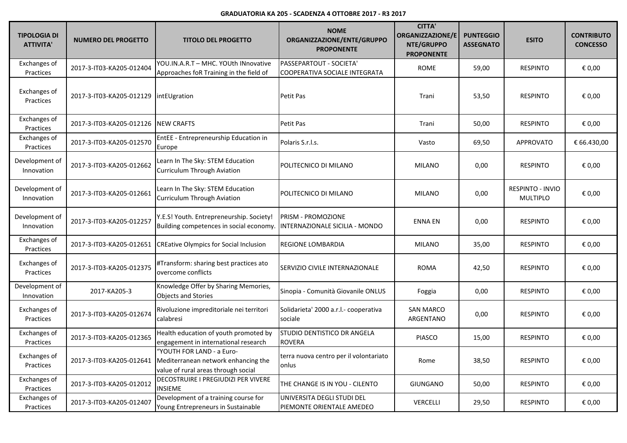| <b>TIPOLOGIA DI</b><br><b>ATTIVITA'</b> | <b>NUMERO DEL PROGETTO</b> | <b>TITOLO DEL PROGETTO</b>                                                                              | <b>NOME</b><br>ORGANIZZAZIONE/ENTE/GRUPPO<br><b>PROPONENTE</b> | <b>CITTA'</b><br>ORGANIZZAZIONE/E<br>NTE/GRUPPO<br><b>PROPONENTE</b> | <b>PUNTEGGIO</b><br><b>ASSEGNATO</b> | <b>ESITO</b>                        | <b>CONTRIBUTO</b><br><b>CONCESSO</b> |
|-----------------------------------------|----------------------------|---------------------------------------------------------------------------------------------------------|----------------------------------------------------------------|----------------------------------------------------------------------|--------------------------------------|-------------------------------------|--------------------------------------|
| <b>Exchanges of</b><br>Practices        | 2017-3-IT03-KA205-012404   | YOU.IN.A.R.T - MHC. YOUth INnovative<br>Approaches foR Training in the field of                         | PASSEPARTOUT - SOCIETA'<br>COOPERATIVA SOCIALE INTEGRATA       | <b>ROME</b>                                                          | 59,00                                | <b>RESPINTO</b>                     | € 0,00                               |
| Exchanges of<br>Practices               | 2017-3-IT03-KA205-012129   | intEUgration                                                                                            | Petit Pas                                                      | Trani                                                                | 53,50                                | <b>RESPINTO</b>                     | € 0,00                               |
| Exchanges of<br>Practices               | 2017-3-IT03-KA205-012126   | <b>NEW CRAFTS</b>                                                                                       | Petit Pas                                                      | Trani                                                                | 50,00                                | <b>RESPINTO</b>                     | € 0,00                               |
| Exchanges of<br>Practices               | 2017-3-IT03-KA205-012570   | EntEE - Entrepreneurship Education in<br>Europe                                                         | Polaris S.r.l.s.                                               | Vasto                                                                | 69,50                                | <b>APPROVATO</b>                    | € 66.430,00                          |
| Development of<br>Innovation            | 2017-3-IT03-KA205-012662   | Learn In The Sky: STEM Education<br><b>Curriculum Through Aviation</b>                                  | POLITECNICO DI MILANO                                          | <b>MILANO</b>                                                        | 0,00                                 | <b>RESPINTO</b>                     | € 0,00                               |
| Development of<br>Innovation            | 2017-3-IT03-KA205-012661   | Learn In The Sky: STEM Education<br>Curriculum Through Aviation                                         | POLITECNICO DI MILANO                                          | <b>MILANO</b>                                                        | 0,00                                 | RESPINTO - INVIO<br><b>MULTIPLO</b> | € 0,00                               |
| Development of<br>Innovation            | 2017-3-IT03-KA205-012257   | Y.E.S! Youth. Entrepreneurship. Society!<br>Building competences in social economy.                     | PRISM - PROMOZIONE<br>INTERNAZIONALE SICILIA - MONDO           | <b>ENNA EN</b>                                                       | 0,00                                 | <b>RESPINTO</b>                     | € 0,00                               |
| Exchanges of<br>Practices               | 2017-3-IT03-KA205-012651   | <b>CREative Olympics for Social Inclusion</b>                                                           | REGIONE LOMBARDIA                                              | <b>MILANO</b>                                                        | 35,00                                | <b>RESPINTO</b>                     | € 0,00                               |
| Exchanges of<br>Practices               | 2017-3-IT03-KA205-012375   | #Transform: sharing best practices ato<br>overcome conflicts                                            | SERVIZIO CIVILE INTERNAZIONALE                                 | <b>ROMA</b>                                                          | 42,50                                | RESPINTO                            | € 0,00                               |
| Development of<br>Innovation            | 2017-KA205-3               | Knowledge Offer by Sharing Memories,<br><b>Objects and Stories</b>                                      | Sinopia - Comunità Giovanile ONLUS                             | Foggia                                                               | 0,00                                 | <b>RESPINTO</b>                     | € 0,00                               |
| <b>Exchanges of</b><br>Practices        | 2017-3-IT03-KA205-012674   | Rivoluzione impreditoriale nei territori<br>calabresi                                                   | Solidarieta' 2000 a.r.l.- cooperativa<br>sociale               | <b>SAN MARCO</b><br>ARGENTANO                                        | 0,00                                 | <b>RESPINTO</b>                     | € 0,00                               |
| <b>Exchanges of</b><br>Practices        | 2017-3-IT03-KA205-012365   | Health education of youth promoted by<br>engagement in international research                           | STUDIO DENTISTICO DR ANGELA<br>ROVERA                          | <b>PIASCO</b>                                                        | 15,00                                | <b>RESPINTO</b>                     | € 0,00                               |
| Exchanges of<br>Practices               | 2017-3-IT03-KA205-012641   | "YOUTH FOR LAND - a Euro-<br>Mediterranean network enhancing the<br>value of rural areas through social | terra nuova centro per il volontariato<br>onlus                | Rome                                                                 | 38,50                                | <b>RESPINTO</b>                     | € 0,00                               |
| <b>Exchanges of</b><br>Practices        | 2017-3-IT03-KA205-012012   | DECOSTRUIRE I PREGIUDIZI PER VIVERE<br><b>INSIEME</b>                                                   | THE CHANGE IS IN YOU - CILENTO                                 | <b>GIUNGANO</b>                                                      | 50,00                                | RESPINTO                            | € 0,00                               |
| <b>Exchanges of</b><br>Practices        | 2017-3-IT03-KA205-012407   | Development of a training course for<br>Young Entrepreneurs in Sustainable                              | UNIVERSITA DEGLI STUDI DEL<br>PIEMONTE ORIENTALE AMEDEO        | <b>VERCELLI</b>                                                      | 29,50                                | <b>RESPINTO</b>                     | € 0,00                               |